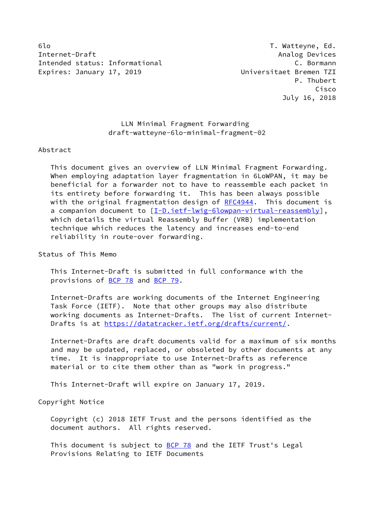6lo T. Watteyne, Ed. Internet-Draft Analog Devices Intended status: Informational C. Bormann Expires: January 17, 2019 **Expires: January 17, 2019** 

## LLN Minimal Fragment Forwarding draft-watteyne-6lo-minimal-fragment-02

## Abstract

 This document gives an overview of LLN Minimal Fragment Forwarding. When employing adaptation layer fragmentation in 6LoWPAN, it may be beneficial for a forwarder not to have to reassemble each packet in its entirety before forwarding it. This has been always possible with the original fragmentation design of [RFC4944](https://datatracker.ietf.org/doc/pdf/rfc4944). This document is a companion document to [\[I-D.ietf-lwig-6lowpan-virtual-reassembly](#page-5-0)], which details the virtual Reassembly Buffer (VRB) implementation technique which reduces the latency and increases end-to-end reliability in route-over forwarding.

Status of This Memo

 This Internet-Draft is submitted in full conformance with the provisions of [BCP 78](https://datatracker.ietf.org/doc/pdf/bcp78) and [BCP 79](https://datatracker.ietf.org/doc/pdf/bcp79).

 Internet-Drafts are working documents of the Internet Engineering Task Force (IETF). Note that other groups may also distribute working documents as Internet-Drafts. The list of current Internet- Drafts is at<https://datatracker.ietf.org/drafts/current/>.

 Internet-Drafts are draft documents valid for a maximum of six months and may be updated, replaced, or obsoleted by other documents at any time. It is inappropriate to use Internet-Drafts as reference material or to cite them other than as "work in progress."

This Internet-Draft will expire on January 17, 2019.

Copyright Notice

 Copyright (c) 2018 IETF Trust and the persons identified as the document authors. All rights reserved.

This document is subject to **[BCP 78](https://datatracker.ietf.org/doc/pdf/bcp78)** and the IETF Trust's Legal Provisions Relating to IETF Documents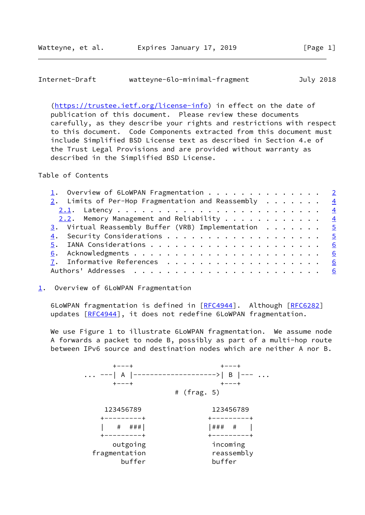<span id="page-1-1"></span>

| Internet-Draft | watteyne-6lo-minimal-fragment | July 2018 |
|----------------|-------------------------------|-----------|
|                |                               |           |

 [\(https://trustee.ietf.org/license-info](https://trustee.ietf.org/license-info)) in effect on the date of publication of this document. Please review these documents carefully, as they describe your rights and restrictions with respect to this document. Code Components extracted from this document must include Simplified BSD License text as described in Section 4.e of the Trust Legal Provisions and are provided without warranty as described in the Simplified BSD License.

Table of Contents

| 2. Limits of Per-Hop Fragmentation and Reassembly $\cdots$ 4     |
|------------------------------------------------------------------|
|                                                                  |
| 2.2. Memory Management and Reliability $\frac{4}{5}$             |
| $\frac{3}{2}$ . Virtual Reassembly Buffer (VRB) Implementation 5 |
|                                                                  |
|                                                                  |
|                                                                  |
|                                                                  |
|                                                                  |
|                                                                  |

## <span id="page-1-0"></span>[1](#page-1-0). Overview of 6LoWPAN Fragmentation

6LoWPAN fragmentation is defined in [\[RFC4944](https://datatracker.ietf.org/doc/pdf/rfc4944)]. Although [\[RFC6282](https://datatracker.ietf.org/doc/pdf/rfc6282)] updates [\[RFC4944](https://datatracker.ietf.org/doc/pdf/rfc4944)], it does not redefine 6LoWPAN fragmentation.

We use Figure 1 to illustrate 6LoWPAN fragmentation. We assume node A forwards a packet to node B, possibly as part of a multi-hop route between IPv6 source and destination nodes which are neither A nor B.

 +---+ +---+ ... ---| A |-------------------->| B |--- ... +---+ +---+ # (frag. 5) 123456789 123456789 +---------+ +---------+ | # ###| | |### # | +---------+ +---------+ outgoing incoming fragmentation reassembly buffer buffer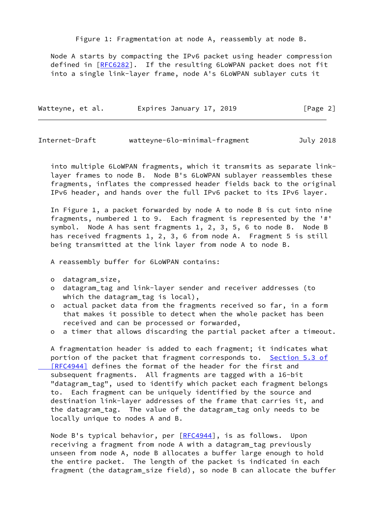Figure 1: Fragmentation at node A, reassembly at node B.

 Node A starts by compacting the IPv6 packet using header compression defined in [[RFC6282\]](https://datatracker.ietf.org/doc/pdf/rfc6282). If the resulting 6LoWPAN packet does not fit into a single link-layer frame, node A's 6LoWPAN sublayer cuts it

| Watteyne, et al. | Expires January 17, 2019 | [Page 2] |
|------------------|--------------------------|----------|
|                  |                          |          |

| Internet-Draft | watteyne-6lo-minimal-fragment | July 2018 |
|----------------|-------------------------------|-----------|
|                |                               |           |

 into multiple 6LoWPAN fragments, which it transmits as separate link layer frames to node B. Node B's 6LoWPAN sublayer reassembles these fragments, inflates the compressed header fields back to the original IPv6 header, and hands over the full IPv6 packet to its IPv6 layer.

 In Figure 1, a packet forwarded by node A to node B is cut into nine fragments, numbered 1 to 9. Each fragment is represented by the '#' symbol. Node A has sent fragments 1, 2, 3, 5, 6 to node B. Node B has received fragments 1, 2, 3, 6 from node A. Fragment 5 is still being transmitted at the link layer from node A to node B.

A reassembly buffer for 6LoWPAN contains:

- o datagram\_size,
- o datagram\_tag and link-layer sender and receiver addresses (to which the datagram\_tag is local),
- o actual packet data from the fragments received so far, in a form that makes it possible to detect when the whole packet has been received and can be processed or forwarded,
- o a timer that allows discarding the partial packet after a timeout.

 A fragmentation header is added to each fragment; it indicates what portion of the packet that fragment corresponds to. [Section](https://datatracker.ietf.org/doc/pdf/rfc4944#section-5.3) 5.3 of [RFC4944] defines the format of the header for the first and subsequent fragments. All fragments are tagged with a 16-bit "datagram\_tag", used to identify which packet each fragment belongs to. Each fragment can be uniquely identified by the source and destination link-layer addresses of the frame that carries it, and the datagram\_tag. The value of the datagram\_tag only needs to be locally unique to nodes A and B.

Node B's typical behavior, per [\[RFC4944](https://datatracker.ietf.org/doc/pdf/rfc4944)], is as follows. Upon receiving a fragment from node A with a datagram\_tag previously unseen from node A, node B allocates a buffer large enough to hold the entire packet. The length of the packet is indicated in each fragment (the datagram\_size field), so node B can allocate the buffer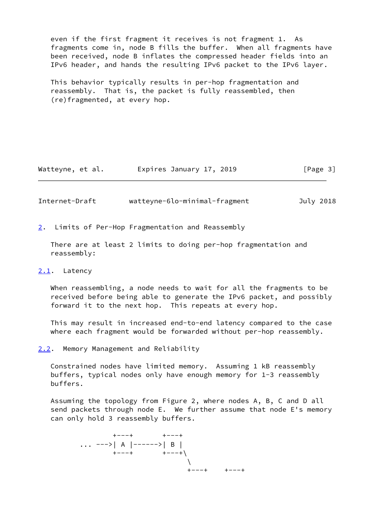even if the first fragment it receives is not fragment 1. As fragments come in, node B fills the buffer. When all fragments have been received, node B inflates the compressed header fields into an IPv6 header, and hands the resulting IPv6 packet to the IPv6 layer.

 This behavior typically results in per-hop fragmentation and reassembly. That is, the packet is fully reassembled, then (re)fragmented, at every hop.

| Watteyne, et al. | Expires January 17, 2019 | [Page 3] |
|------------------|--------------------------|----------|
|------------------|--------------------------|----------|

<span id="page-3-1"></span>Internet-Draft watteyne-6lo-minimal-fragment July 2018

<span id="page-3-0"></span>[2](#page-3-0). Limits of Per-Hop Fragmentation and Reassembly

 There are at least 2 limits to doing per-hop fragmentation and reassembly:

<span id="page-3-2"></span>[2.1](#page-3-2). Latency

 When reassembling, a node needs to wait for all the fragments to be received before being able to generate the IPv6 packet, and possibly forward it to the next hop. This repeats at every hop.

 This may result in increased end-to-end latency compared to the case where each fragment would be forwarded without per-hop reassembly.

<span id="page-3-3"></span>[2.2](#page-3-3). Memory Management and Reliability

 Constrained nodes have limited memory. Assuming 1 kB reassembly buffers, typical nodes only have enough memory for 1-3 reassembly buffers.

 Assuming the topology from Figure 2, where nodes A, B, C and D all send packets through node E. We further assume that node E's memory can only hold 3 reassembly buffers.

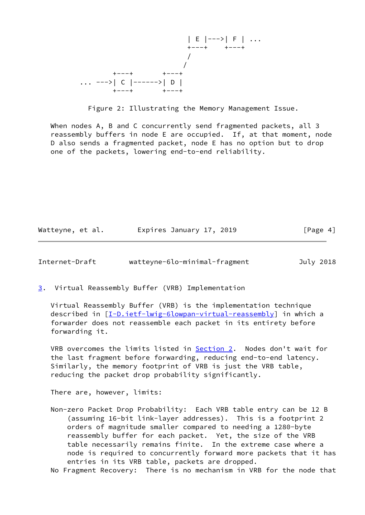

Figure 2: Illustrating the Memory Management Issue.

 When nodes A, B and C concurrently send fragmented packets, all 3 reassembly buffers in node E are occupied. If, at that moment, node D also sends a fragmented packet, node E has no option but to drop one of the packets, lowering end-to-end reliability.

| Watteyne, et al. | Expires January 17, 2019 | [Page 4] |
|------------------|--------------------------|----------|
|------------------|--------------------------|----------|

<span id="page-4-1"></span>Internet-Draft watteyne-6lo-minimal-fragment July 2018

<span id="page-4-0"></span>[3](#page-4-0). Virtual Reassembly Buffer (VRB) Implementation

 Virtual Reassembly Buffer (VRB) is the implementation technique described in [\[I-D.ietf-lwig-6lowpan-virtual-reassembly](#page-5-0)] in which a forwarder does not reassemble each packet in its entirety before forwarding it.

 VRB overcomes the limits listed in [Section 2.](#page-3-0) Nodes don't wait for the last fragment before forwarding, reducing end-to-end latency. Similarly, the memory footprint of VRB is just the VRB table, reducing the packet drop probability significantly.

There are, however, limits:

 Non-zero Packet Drop Probability: Each VRB table entry can be 12 B (assuming 16-bit link-layer addresses). This is a footprint 2 orders of magnitude smaller compared to needing a 1280-byte reassembly buffer for each packet. Yet, the size of the VRB table necessarily remains finite. In the extreme case where a node is required to concurrently forward more packets that it has entries in its VRB table, packets are dropped.

No Fragment Recovery: There is no mechanism in VRB for the node that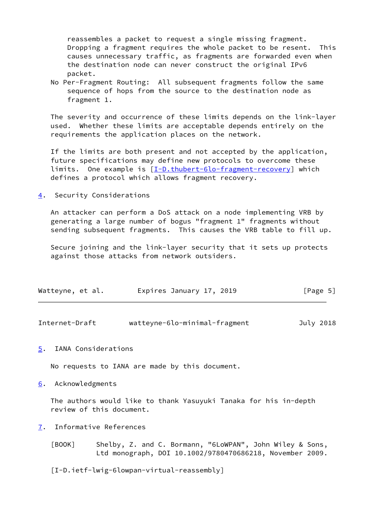reassembles a packet to request a single missing fragment. Dropping a fragment requires the whole packet to be resent. This causes unnecessary traffic, as fragments are forwarded even when the destination node can never construct the original IPv6 packet.

 No Per-Fragment Routing: All subsequent fragments follow the same sequence of hops from the source to the destination node as fragment 1.

 The severity and occurrence of these limits depends on the link-layer used. Whether these limits are acceptable depends entirely on the requirements the application places on the network.

 If the limits are both present and not accepted by the application, future specifications may define new protocols to overcome these limits. One example is [\[I-D.thubert-6lo-fragment-recovery](#page-6-0)] which defines a protocol which allows fragment recovery.

<span id="page-5-1"></span>[4](#page-5-1). Security Considerations

 An attacker can perform a DoS attack on a node implementing VRB by generating a large number of bogus "fragment 1" fragments without sending subsequent fragments. This causes the VRB table to fill up.

 Secure joining and the link-layer security that it sets up protects against those attacks from network outsiders.

| Watteyne, et al. | Expires January 17, 2019 |  | [Page 5] |
|------------------|--------------------------|--|----------|
|------------------|--------------------------|--|----------|

<span id="page-5-3"></span>

| Internet-Draft | watteyne-6lo-minimal-fragment | July 2018 |
|----------------|-------------------------------|-----------|
|                |                               |           |

<span id="page-5-2"></span>[5](#page-5-2). IANA Considerations

No requests to IANA are made by this document.

<span id="page-5-4"></span>[6](#page-5-4). Acknowledgments

 The authors would like to thank Yasuyuki Tanaka for his in-depth review of this document.

- <span id="page-5-5"></span>[7](#page-5-5). Informative References
	- [BOOK] Shelby, Z. and C. Bormann, "6LoWPAN", John Wiley & Sons, Ltd monograph, DOI 10.1002/9780470686218, November 2009.

<span id="page-5-0"></span>[I-D.ietf-lwig-6lowpan-virtual-reassembly]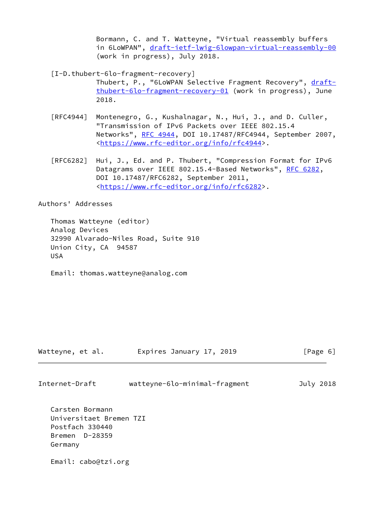Bormann, C. and T. Watteyne, "Virtual reassembly buffers in 6LoWPAN", [draft-ietf-lwig-6lowpan-virtual-reassembly-00](https://datatracker.ietf.org/doc/pdf/draft-ietf-lwig-6lowpan-virtual-reassembly-00) (work in progress), July 2018.

<span id="page-6-0"></span>[I-D.thubert-6lo-fragment-recovery]

Thubert, P., "6LoWPAN Selective Fragment Recovery", [draft](https://datatracker.ietf.org/doc/pdf/draft-thubert-6lo-fragment-recovery-01) [thubert-6lo-fragment-recovery-01](https://datatracker.ietf.org/doc/pdf/draft-thubert-6lo-fragment-recovery-01) (work in progress), June 2018.

- [RFC4944] Montenegro, G., Kushalnagar, N., Hui, J., and D. Culler, "Transmission of IPv6 Packets over IEEE 802.15.4 Networks", [RFC 4944](https://datatracker.ietf.org/doc/pdf/rfc4944), DOI 10.17487/RFC4944, September 2007, <[https://www.rfc-editor.org/info/rfc4944>](https://www.rfc-editor.org/info/rfc4944).
- [RFC6282] Hui, J., Ed. and P. Thubert, "Compression Format for IPv6 Datagrams over IEEE 802.15.4-Based Networks", [RFC 6282](https://datatracker.ietf.org/doc/pdf/rfc6282), DOI 10.17487/RFC6282, September 2011, <[https://www.rfc-editor.org/info/rfc6282>](https://www.rfc-editor.org/info/rfc6282).

Authors' Addresses

 Thomas Watteyne (editor) Analog Devices 32990 Alvarado-Niles Road, Suite 910 Union City, CA 94587 USA

Email: thomas.watteyne@analog.com

| Watteyne, et al. |  | Expires January 17, 2019 |  | [Page 6] |  |
|------------------|--|--------------------------|--|----------|--|
|                  |  |                          |  |          |  |

| Internet-Draft | watteyne-6lo-minimal-fragment | July 2018 |  |
|----------------|-------------------------------|-----------|--|
|                |                               |           |  |

 Carsten Bormann Universitaet Bremen TZI Postfach 330440 Bremen D-28359 Germany

Email: cabo@tzi.org